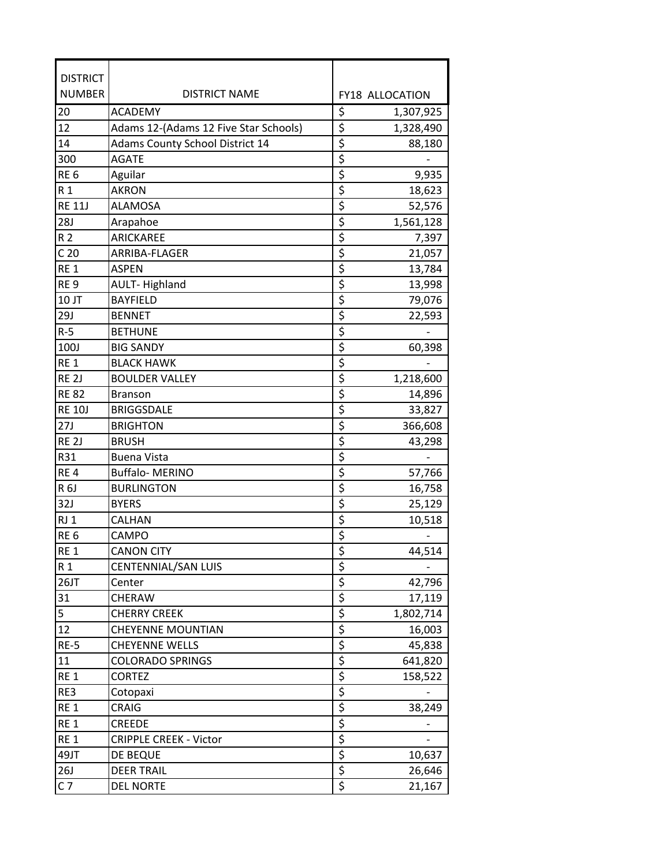| <b>DISTRICT</b>  |                                        |                                               |  |
|------------------|----------------------------------------|-----------------------------------------------|--|
| <b>NUMBER</b>    | <b>DISTRICT NAME</b>                   | FY18 ALLOCATION                               |  |
| 20               | <b>ACADEMY</b>                         | \$<br>1,307,925                               |  |
| 12               | Adams 12-(Adams 12 Five Star Schools)  | \$<br>1,328,490                               |  |
| 14               | <b>Adams County School District 14</b> | \$<br>88,180                                  |  |
| 300              | <b>AGATE</b>                           | $\overline{\xi}$                              |  |
| RE <sub>6</sub>  | Aguilar                                | \$<br>9,935                                   |  |
| R 1              | <b>AKRON</b>                           | \$<br>18,623                                  |  |
| <b>RE 11J</b>    | <b>ALAMOSA</b>                         | \$<br>52,576                                  |  |
| <b>28J</b>       | Arapahoe                               | $\overline{\xi}$<br>1,561,128                 |  |
| R <sub>2</sub>   | ARICKAREE                              | \$<br>7,397                                   |  |
| C <sub>20</sub>  | ARRIBA-FLAGER                          | \$<br>21,057                                  |  |
| RE <sub>1</sub>  | <b>ASPEN</b>                           | $\overline{\xi}$<br>13,784                    |  |
| RE <sub>9</sub>  | <b>AULT-Highland</b>                   | $\overline{\boldsymbol{\varsigma}}$<br>13,998 |  |
| 10 JT            | <b>BAYFIELD</b>                        | $\overline{\boldsymbol{\varsigma}}$<br>79,076 |  |
| 29J              | <b>BENNET</b>                          | \$<br>22,593                                  |  |
| $R-5$            | <b>BETHUNE</b>                         | $\overline{\boldsymbol{\varsigma}}$           |  |
| 100J             | <b>BIG SANDY</b>                       | $\overline{\xi}$<br>60,398                    |  |
| RE <sub>1</sub>  | <b>BLACK HAWK</b>                      | $\overline{\xi}$                              |  |
| RE <sub>2J</sub> | <b>BOULDER VALLEY</b>                  | \$<br>1,218,600                               |  |
| <b>RE 82</b>     | <b>Branson</b>                         | \$<br>14,896                                  |  |
| <b>RE 10J</b>    | <b>BRIGGSDALE</b>                      | \$<br>33,827                                  |  |
| 27J              | <b>BRIGHTON</b>                        | $\overline{\xi}$<br>366,608                   |  |
| RE <sub>2J</sub> | <b>BRUSH</b>                           | $\overline{\xi}$<br>43,298                    |  |
| R31              | <b>Buena Vista</b>                     | \$                                            |  |
| RE <sub>4</sub>  | <b>Buffalo-MERINO</b>                  | \$<br>57,766                                  |  |
| R 6J             | <b>BURLINGTON</b>                      | $\overline{\boldsymbol{\varsigma}}$<br>16,758 |  |
| 32J              | <b>BYERS</b>                           | $\overline{\xi}$<br>25,129                    |  |
| RJ <sub>1</sub>  | CALHAN                                 | \$<br>10,518                                  |  |
| RE <sub>6</sub>  | CAMPO                                  | $\overline{\xi}$                              |  |
| RE <sub>1</sub>  | <b>CANON CITY</b>                      | A<br>44,514<br><u>ڊ</u>                       |  |
| R 1              | CENTENNIAL/SAN LUIS                    | \$                                            |  |
| 26JT             | Center                                 | $\overline{\xi}$<br>42,796                    |  |
| 31               | CHERAW                                 | $\overline{\xi}$<br>17,119                    |  |
| 5                | <b>CHERRY CREEK</b>                    | \$<br>1,802,714                               |  |
| 12               | <b>CHEYENNE MOUNTIAN</b>               | $rac{5}{5}$<br>16,003                         |  |
| $RE-5$           | <b>CHEYENNE WELLS</b>                  | 45,838                                        |  |
| 11               | COLORADO SPRINGS                       | $\overline{\boldsymbol{\zeta}}$<br>641,820    |  |
| RE <sub>1</sub>  | <b>CORTEZ</b>                          | $rac{5}{5}$<br>158,522                        |  |
| RE3              | Cotopaxi                               |                                               |  |
| RE <sub>1</sub>  | CRAIG                                  | 38,249                                        |  |
| RE <sub>1</sub>  | <b>CREEDE</b>                          | $rac{5}{5}$                                   |  |
| RE <sub>1</sub>  | <b>CRIPPLE CREEK - Victor</b>          |                                               |  |
| 49JT             | DE BEQUE                               | $\overline{\xi}$<br>10,637                    |  |
| 26J              | <b>DEER TRAIL</b>                      | $\overline{\xi}$<br>26,646                    |  |
| C <sub>7</sub>   | <b>DEL NORTE</b>                       | $\overline{\boldsymbol{\zeta}}$<br>21,167     |  |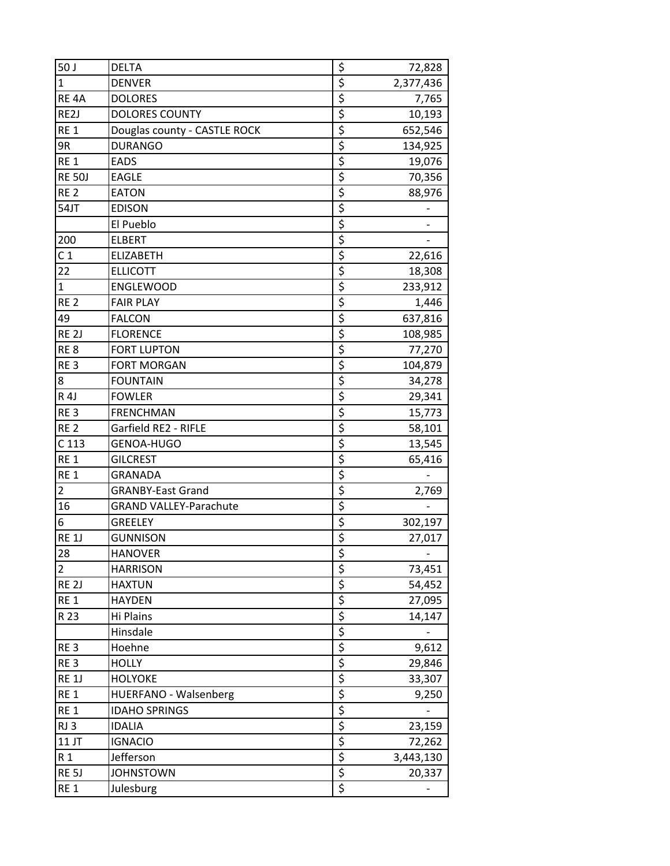| 50 J              | <b>DELTA</b>                  |                  | 72,828    |
|-------------------|-------------------------------|------------------|-----------|
| $\mathbf{1}$      | <b>DENVER</b>                 | $rac{5}{5}$      | 2,377,436 |
| RE <sub>4</sub> A | <b>DOLORES</b>                | $\overline{\xi}$ | 7,765     |
| RE2J              | <b>DOLORES COUNTY</b>         | \$               | 10,193    |
| RE <sub>1</sub>   | Douglas county - CASTLE ROCK  | \$               | 652,546   |
| 9R                | <b>DURANGO</b>                | \$               | 134,925   |
| RE <sub>1</sub>   | <b>EADS</b>                   | $\overline{\xi}$ | 19,076    |
| <b>RE 50J</b>     | <b>EAGLE</b>                  | $\overline{\xi}$ | 70,356    |
| RE <sub>2</sub>   | <b>EATON</b>                  | $\overline{\xi}$ | 88,976    |
| 54JT              | <b>EDISON</b>                 | \$               |           |
|                   | El Pueblo                     |                  |           |
| 200               | <b>ELBERT</b>                 | $\overline{\xi}$ |           |
| C <sub>1</sub>    | <b>ELIZABETH</b>              | $\overline{\xi}$ | 22,616    |
| 22                | <b>ELLICOTT</b>               | \$               | 18,308    |
| $\mathbf{1}$      | <b>ENGLEWOOD</b>              | \$               | 233,912   |
| RE <sub>2</sub>   | <b>FAIR PLAY</b>              | \$               | 1,446     |
| 49                | <b>FALCON</b>                 | \$               | 637,816   |
| RE <sub>2J</sub>  | <b>FLORENCE</b>               | $\overline{\xi}$ | 108,985   |
| RE <sub>8</sub>   | <b>FORT LUPTON</b>            | $rac{5}{5}$      | 77,270    |
| RE <sub>3</sub>   | <b>FORT MORGAN</b>            |                  | 104,879   |
| 8                 | <b>FOUNTAIN</b>               | $\overline{\xi}$ | 34,278    |
| R 4J              | <b>FOWLER</b>                 | $\overline{\xi}$ | 29,341    |
| RE <sub>3</sub>   | <b>FRENCHMAN</b>              | \$               | 15,773    |
| RE <sub>2</sub>   | Garfield RE2 - RIFLE          | \$               | 58,101    |
| C <sub>113</sub>  | GENOA-HUGO                    | \$               | 13,545    |
| RE <sub>1</sub>   | <b>GILCREST</b>               | $\overline{\xi}$ | 65,416    |
| RE <sub>1</sub>   | <b>GRANADA</b>                | \$               |           |
| $\overline{2}$    | <b>GRANBY-East Grand</b>      | \$               | 2,769     |
| 16                | <b>GRAND VALLEY-Parachute</b> | \$               |           |
| 6                 | <b>GREELEY</b>                | $\overline{\xi}$ | 302,197   |
| <b>RE 1J</b>      | <b>GUNNISON</b>               | \$               | 27,017    |
| 28                | HANOVER                       | <u>\$</u>        |           |
| $\overline{2}$    | <b>HARRISON</b>               | $rac{5}{5}$      | 73,451    |
| RE <sub>2J</sub>  | <b>HAXTUN</b>                 |                  | 54,452    |
| RE <sub>1</sub>   | <b>HAYDEN</b>                 | $\overline{\xi}$ | 27,095    |
| R 23              | Hi Plains                     | \$               | 14,147    |
|                   | Hinsdale                      | $\frac{5}{5}$    |           |
| RE <sub>3</sub>   | Hoehne                        |                  | 9,612     |
| RE <sub>3</sub>   | <b>HOLLY</b>                  | $\overline{\xi}$ | 29,846    |
| <b>RE 1J</b>      | <b>HOLYOKE</b>                | \$               | 33,307    |
| RE <sub>1</sub>   | HUERFANO - Walsenberg         | $\overline{\xi}$ | 9,250     |
| RE <sub>1</sub>   | <b>IDAHO SPRINGS</b>          | $rac{5}{5}$      |           |
| RJ3               | <b>IDALIA</b>                 |                  | 23,159    |
| 11 JT             | <b>IGNACIO</b>                | $\overline{\xi}$ | 72,262    |
| R <sub>1</sub>    | Jefferson                     | \$               | 3,443,130 |
| RE <sub>5J</sub>  | <b>JOHNSTOWN</b>              | \$               | 20,337    |
| RE <sub>1</sub>   | Julesburg                     | \$               |           |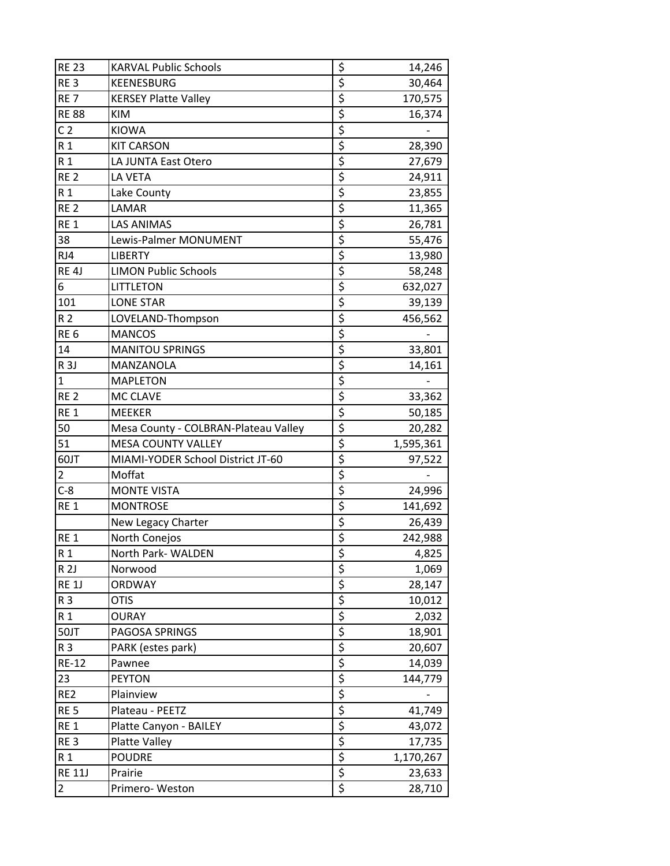| <b>RE 23</b>                    | <b>KARVAL Public Schools</b>         |                                                     | 14,246           |
|---------------------------------|--------------------------------------|-----------------------------------------------------|------------------|
| RE <sub>3</sub>                 | <b>KEENESBURG</b>                    | $\frac{5}{5}$                                       | 30,464           |
| RE <sub>7</sub>                 | <b>KERSEY Platte Valley</b>          | $\overline{\xi}$                                    | 170,575          |
| <b>RE 88</b>                    | <b>KIM</b>                           | \$                                                  | 16,374           |
| C <sub>2</sub>                  | <b>KIOWA</b>                         | \$                                                  |                  |
| R <sub>1</sub>                  | <b>KIT CARSON</b>                    | \$                                                  | 28,390           |
| R <sub>1</sub>                  | LA JUNTA East Otero                  | $\overline{\xi}$                                    | 27,679           |
| RE <sub>2</sub>                 | LA VETA                              | $\overline{\xi}$                                    | 24,911           |
| R <sub>1</sub>                  | Lake County                          | $\overline{\xi}$                                    | 23,855           |
| RE <sub>2</sub>                 | LAMAR                                | \$                                                  | 11,365           |
| RE <sub>1</sub>                 | <b>LAS ANIMAS</b>                    | $\overline{\xi}$                                    | 26,781           |
| 38                              | Lewis-Palmer MONUMENT                | $\overline{\mathsf{S}}$                             | 55,476           |
| RJ4                             | <b>LIBERTY</b>                       | $\overline{\boldsymbol{\varsigma}}$                 | 13,980           |
| RE <sub>4</sub> J               | <b>LIMON Public Schools</b>          | \$                                                  | 58,248           |
| 6                               | LITTLETON                            | $\overline{\boldsymbol{\varsigma}}$                 | 632,027          |
| 101                             | <b>LONE STAR</b>                     | \$                                                  | 39,139           |
| R <sub>2</sub>                  | LOVELAND-Thompson                    | \$                                                  | 456,562          |
| RE <sub>6</sub>                 | <b>MANCOS</b>                        | $\overline{\xi}$                                    |                  |
| 14                              | <b>MANITOU SPRINGS</b>               | $rac{5}{5}$                                         | 33,801           |
| R <sub>3J</sub>                 | MANZANOLA                            |                                                     | 14,161           |
| $\mathbf{1}$                    | <b>MAPLETON</b>                      | $\overline{\xi}$                                    |                  |
| RE <sub>2</sub>                 | MC CLAVE                             | \$                                                  | 33,362           |
| RE <sub>1</sub>                 | <b>MEEKER</b>                        | $\overline{\xi}$                                    | 50,185           |
| 50                              | Mesa County - COLBRAN-Plateau Valley | \$                                                  | 20,282           |
| 51                              | <b>MESA COUNTY VALLEY</b>            | \$                                                  | 1,595,361        |
| 60JT                            | MIAMI-YODER School District JT-60    | \$                                                  | 97,522           |
| $\overline{2}$                  | Moffat                               | \$                                                  |                  |
| $C-8$                           | <b>MONTE VISTA</b>                   | \$                                                  | 24,996           |
| RE <sub>1</sub>                 | <b>MONTROSE</b>                      | \$                                                  | 141,692          |
|                                 | New Legacy Charter                   | $\overline{\xi}$                                    | 26,439           |
| RE <sub>1</sub>                 | North Conejos                        | $\overline{\xi}$                                    | 242,988          |
| R 1                             | North Park- WALDEN                   | <u>\$</u>                                           | 4,825            |
| R <sub>2J</sub>                 | Norwood                              | \$                                                  | 1,069            |
| <b>RE 1J</b>                    | <b>ORDWAY</b>                        | $\overline{\boldsymbol{\zeta}}$                     | 28,147           |
| R <sub>3</sub>                  | <b>OTIS</b>                          | $\overline{\xi}$                                    | 10,012           |
| R <sub>1</sub>                  | OURAY                                | $\overline{\xi}$                                    | 2,032            |
| 50JT                            | PAGOSA SPRINGS                       | $\overline{\xi}$                                    | 18,901           |
| R 3                             | PARK (estes park)                    | $\overline{\boldsymbol{\zeta}}$                     | 20,607           |
| <b>RE-12</b>                    | Pawnee                               | $\overline{\xi}$                                    | 14,039           |
| 23                              | <b>PEYTON</b>                        | \$                                                  | 144,779          |
| RE <sub>2</sub>                 | Plainview                            | $\overline{\xi}$                                    |                  |
| RE <sub>5</sub>                 | Plateau - PEETZ                      | $rac{5}{5}$                                         | 41,749           |
| RE <sub>1</sub>                 | Platte Canyon - BAILEY               |                                                     | 43,072           |
|                                 |                                      |                                                     |                  |
| RE <sub>3</sub>                 | Platte Valley                        | \$                                                  | 17,735           |
| R <sub>1</sub>                  | <b>POUDRE</b>                        | \$                                                  | 1,170,267        |
| <b>RE 11J</b><br>$\overline{2}$ | Prairie<br>Primero-Weston            | $\overline{\xi}$<br>$\overline{\boldsymbol{\zeta}}$ | 23,633<br>28,710 |